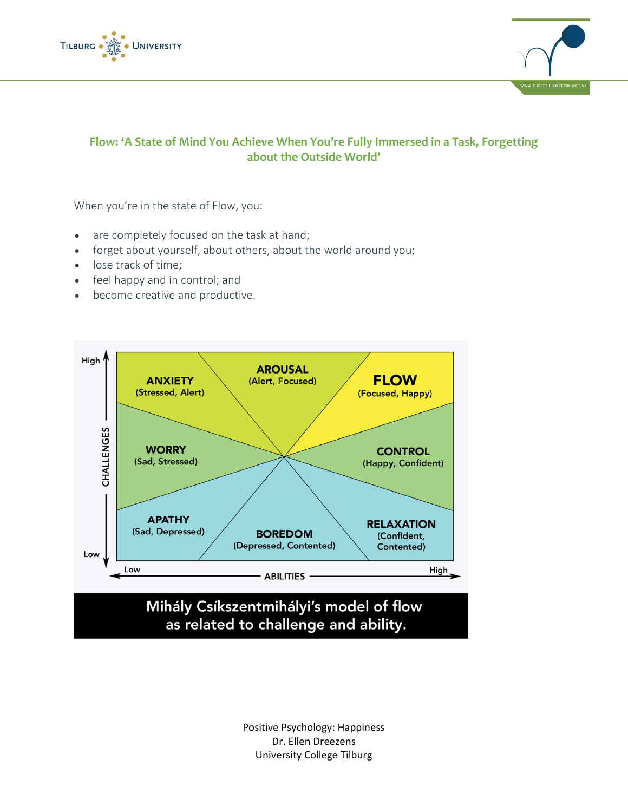



## **Flow: 'A State of Mind You Achieve When You're Fully Immersed in a Task, Forgetting about the Outside World'**

When you're in the state of Flow, you:

- are completely focused on the task at hand;
- forget about yourself, about others, about the world around you;
- lose track of time;
- feel happy and in control; and
- become creative and productive.



Positive Psychology: Happiness Dr. Ellen Dreezens University College Tilburg